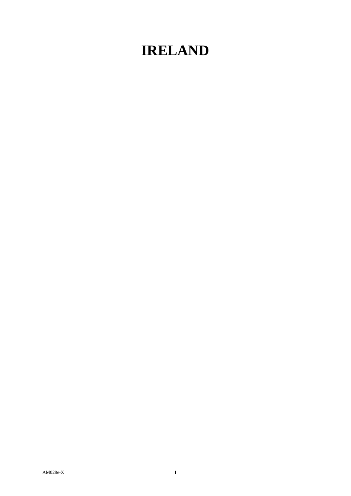## **IRELAND**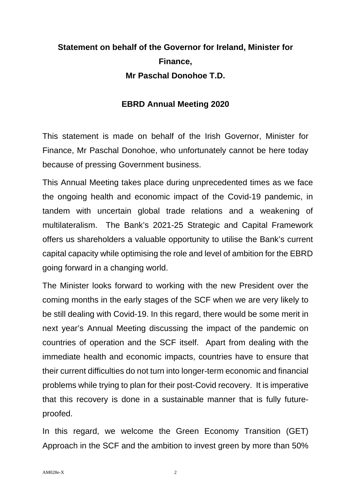## **Statement on behalf of the Governor for Ireland, Minister for Finance, Mr Paschal Donohoe T.D.**

## **EBRD Annual Meeting 2020**

This statement is made on behalf of the Irish Governor, Minister for Finance, Mr Paschal Donohoe, who unfortunately cannot be here today because of pressing Government business.

This Annual Meeting takes place during unprecedented times as we face the ongoing health and economic impact of the Covid-19 pandemic, in tandem with uncertain global trade relations and a weakening of multilateralism. The Bank's 2021-25 Strategic and Capital Framework offers us shareholders a valuable opportunity to utilise the Bank's current capital capacity while optimising the role and level of ambition for the EBRD going forward in a changing world.

The Minister looks forward to working with the new President over the coming months in the early stages of the SCF when we are very likely to be still dealing with Covid-19. In this regard, there would be some merit in next year's Annual Meeting discussing the impact of the pandemic on countries of operation and the SCF itself. Apart from dealing with the immediate health and economic impacts, countries have to ensure that their current difficulties do not turn into longer-term economic and financial problems while trying to plan for their post-Covid recovery. It is imperative that this recovery is done in a sustainable manner that is fully futureproofed.

In this regard, we welcome the Green Economy Transition (GET) Approach in the SCF and the ambition to invest green by more than 50%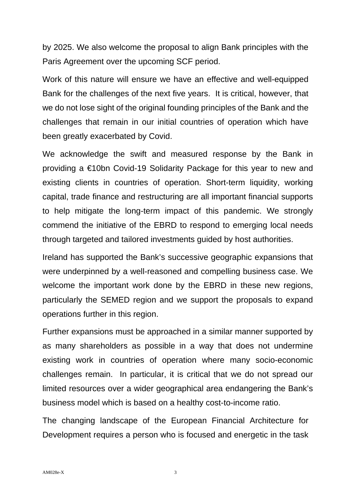by 2025. We also welcome the proposal to align Bank principles with the Paris Agreement over the upcoming SCF period.

Work of this nature will ensure we have an effective and well-equipped Bank for the challenges of the next five years. It is critical, however, that we do not lose sight of the original founding principles of the Bank and the challenges that remain in our initial countries of operation which have been greatly exacerbated by Covid.

We acknowledge the swift and measured response by the Bank in providing a €10bn Covid-19 Solidarity Package for this year to new and existing clients in countries of operation. Short-term liquidity, working capital, trade finance and restructuring are all important financial supports to help mitigate the long-term impact of this pandemic. We strongly commend the initiative of the EBRD to respond to emerging local needs through targeted and tailored investments guided by host authorities.

Ireland has supported the Bank's successive geographic expansions that were underpinned by a well-reasoned and compelling business case. We welcome the important work done by the EBRD in these new regions, particularly the SEMED region and we support the proposals to expand operations further in this region.

Further expansions must be approached in a similar manner supported by as many shareholders as possible in a way that does not undermine existing work in countries of operation where many socio-economic challenges remain. In particular, it is critical that we do not spread our limited resources over a wider geographical area endangering the Bank's business model which is based on a healthy cost-to-income ratio.

The changing landscape of the European Financial Architecture for Development requires a person who is focused and energetic in the task